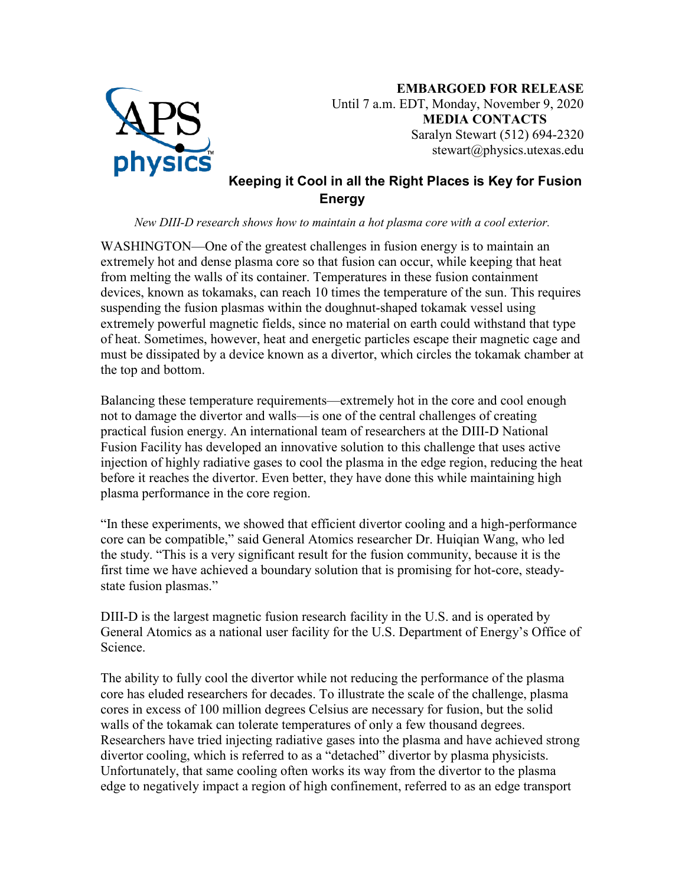

**EMBARGOED FOR RELEASE** Until 7 a.m. EDT, Monday, November 9, 2020 **MEDIA CONTACTS** Saralyn Stewart (512) 694-2320 stewart@physics.utexas.edu

## **Keeping it Cool in all the Right Places is Key for Fusion Energy**

## *New DIII-D research shows how to maintain a hot plasma core with a cool exterior.*

WASHINGTON—One of the greatest challenges in fusion energy is to maintain an extremely hot and dense plasma core so that fusion can occur, while keeping that heat from melting the walls of its container. Temperatures in these fusion containment devices, known as tokamaks, can reach 10 times the temperature of the sun. This requires suspending the fusion plasmas within the doughnut-shaped tokamak vessel using extremely powerful magnetic fields, since no material on earth could withstand that type of heat. Sometimes, however, heat and energetic particles escape their magnetic cage and must be dissipated by a device known as a divertor, which circles the tokamak chamber at the top and bottom.

Balancing these temperature requirements—extremely hot in the core and cool enough not to damage the divertor and walls—is one of the central challenges of creating practical fusion energy. An international team of researchers at the DIII-D National Fusion Facility has developed an innovative solution to this challenge that uses active injection of highly radiative gases to cool the plasma in the edge region, reducing the heat before it reaches the divertor. Even better, they have done this while maintaining high plasma performance in the core region.

"In these experiments, we showed that efficient divertor cooling and a high-performance core can be compatible," said General Atomics researcher Dr. Huiqian Wang, who led the study. "This is a very significant result for the fusion community, because it is the first time we have achieved a boundary solution that is promising for hot-core, steadystate fusion plasmas."

DIII-D is the largest magnetic fusion research facility in the U.S. and is operated by General Atomics as a national user facility for the U.S. Department of Energy's Office of Science.

The ability to fully cool the divertor while not reducing the performance of the plasma core has eluded researchers for decades. To illustrate the scale of the challenge, plasma cores in excess of 100 million degrees Celsius are necessary for fusion, but the solid walls of the tokamak can tolerate temperatures of only a few thousand degrees. Researchers have tried injecting radiative gases into the plasma and have achieved strong divertor cooling, which is referred to as a "detached" divertor by plasma physicists. Unfortunately, that same cooling often works its way from the divertor to the plasma edge to negatively impact a region of high confinement, referred to as an edge transport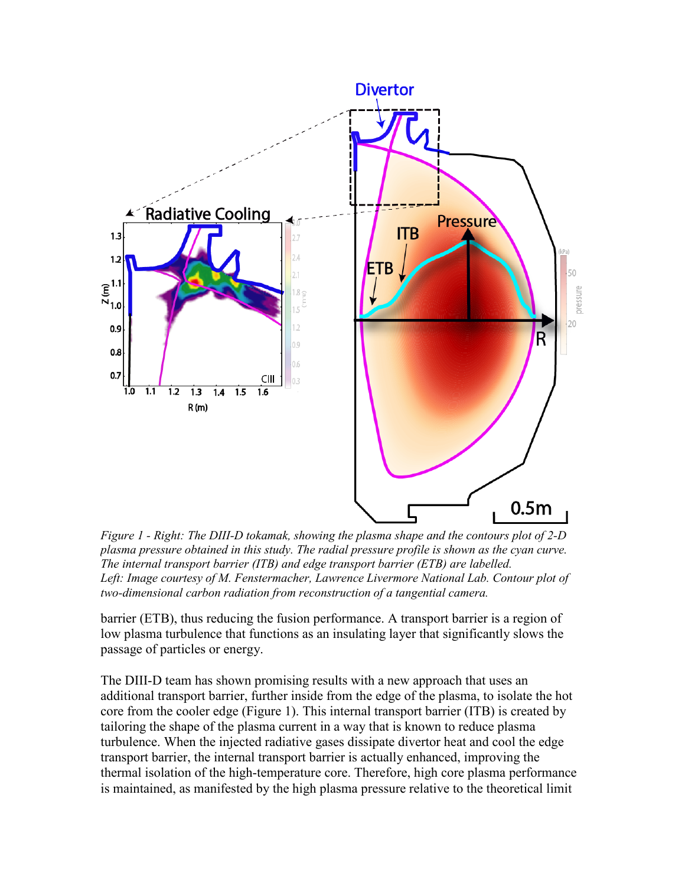

*Figure 1 - Right: The DIII-D tokamak, showing the plasma shape and the contours plot of 2-D plasma pressure obtained in this study. The radial pressure profile is shown as the cyan curve. The internal transport barrier (ITB) and edge transport barrier (ETB) are labelled.* Left: Image courtesy of M. Fenstermacher, Lawrence Livermore National Lab. Contour plot of *two-dimensional carbon radiation from reconstruction of a tangential camera.*

barrier (ETB), thus reducing the fusion performance. A transport barrier is a region of low plasma turbulence that functions as an insulating layer that significantly slows the passage of particles or energy.

The DIII-D team has shown promising results with a new approach that uses an additional transport barrier, further inside from the edge of the plasma, to isolate the hot core from the cooler edge (Figure 1). This internal transport barrier (ITB) is created by tailoring the shape of the plasma current in a way that is known to reduce plasma turbulence. When the injected radiative gases dissipate divertor heat and cool the edge transport barrier, the internal transport barrier is actually enhanced, improving the thermal isolation of the high-temperature core. Therefore, high core plasma performance is maintained, as manifested by the high plasma pressure relative to the theoretical limit